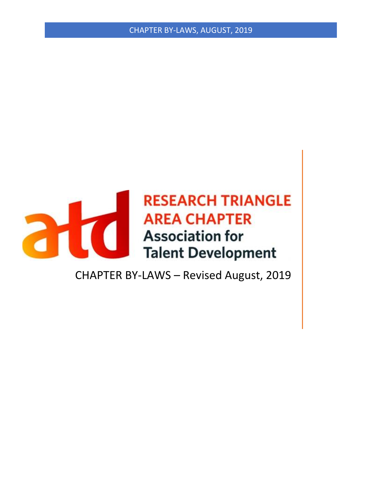CHAPTER BY-LAWS, AUGUST, 2019



CHAPTER BY-LAWS – Revised August, 2019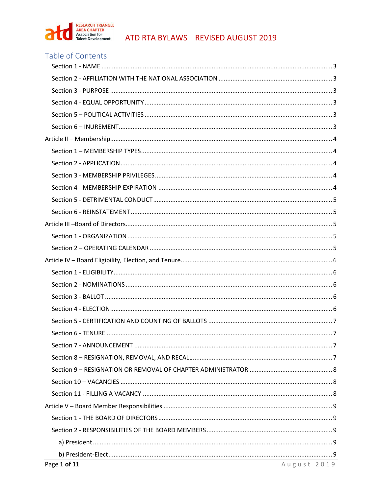

# Table of Contents

| Page 1 of 11 | $A \cup B \cup C$   $A \cup B$ |
|--------------|--------------------------------|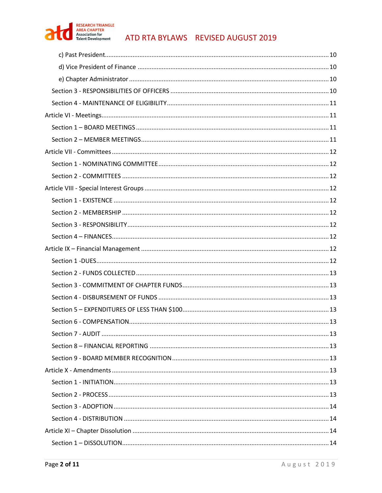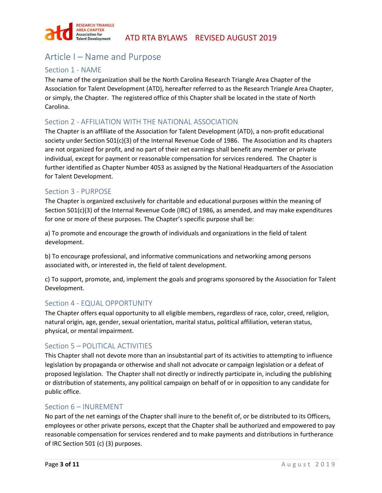

# <span id="page-3-0"></span>Article I – Name and Purpose

# Section 1 - NAME

The name of the organization shall be the North Carolina Research Triangle Area Chapter of the Association for Talent Development (ATD), hereafter referred to as the Research Triangle Area Chapter, or simply, the Chapter. The registered office of this Chapter shall be located in the state of North Carolina.

## <span id="page-3-1"></span>Section 2 - AFFILIATION WITH THE NATIONAL ASSOCIATION

The Chapter is an affiliate of the Association for Talent Development (ATD), a non-profit educational society under Section 501(c)(3) of the Internal Revenue Code of 1986. The Association and its chapters are not organized for profit, and no part of their net earnings shall benefit any member or private individual, except for payment or reasonable compensation for services rendered. The Chapter is further identified as Chapter Number 4053 as assigned by the National Headquarters of the Association for Talent Development.

## <span id="page-3-2"></span>Section 3 - PURPOSE

The Chapter is organized exclusively for charitable and educational purposes within the meaning of Section 501(c)(3) of the Internal Revenue Code (IRC) of 1986, as amended, and may make expenditures for one or more of these purposes. The Chapter's specific purpose shall be:

a) To promote and encourage the growth of individuals and organizations in the field of talent development.

b) To encourage professional, and informative communications and networking among persons associated with, or interested in, the field of talent development.

c) To support, promote, and, implement the goals and programs sponsored by the Association for Talent Development.

## <span id="page-3-3"></span>Section 4 - EQUAL OPPORTUNITY

The Chapter offers equal opportunity to all eligible members, regardless of race, color, creed, religion, natural origin, age, gender, sexual orientation, marital status, political affiliation, veteran status, physical, or mental impairment.

## <span id="page-3-4"></span>Section 5 – POLITICAL ACTIVITIES

This Chapter shall not devote more than an insubstantial part of its activities to attempting to influence legislation by propaganda or otherwise and shall not advocate or campaign legislation or a defeat of proposed legislation. The Chapter shall not directly or indirectly participate in, including the publishing or distribution of statements, any political campaign on behalf of or in opposition to any candidate for public office.

#### <span id="page-3-5"></span>Section 6 – INUREMENT

No part of the net earnings of the Chapter shall inure to the benefit of, or be distributed to its Officers, employees or other private persons, except that the Chapter shall be authorized and empowered to pay reasonable compensation for services rendered and to make payments and distributions in furtherance of IRC Section 501 (c) (3) purposes.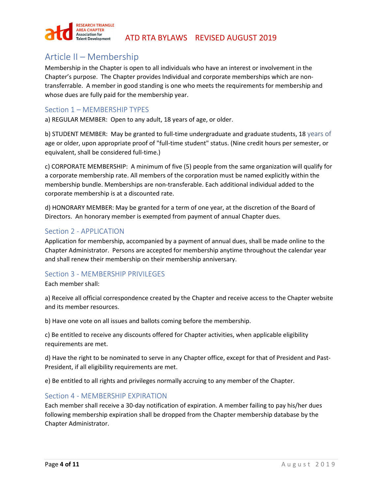

# <span id="page-4-0"></span>Article II – Membership

Membership in the Chapter is open to all individuals who have an interest or involvement in the Chapter's purpose. The Chapter provides Individual and corporate memberships which are nontransferrable. A member in good standing is one who meets the requirements for membership and whose dues are fully paid for the membership year.

# <span id="page-4-1"></span>Section 1 – MEMBERSHIP TYPES

a) REGULAR MEMBER: Open to any adult, 18 years of age, or older.

b) STUDENT MEMBER: May be granted to full-time undergraduate and graduate students, 18 years of age or older, upon appropriate proof of "full-time student" status. (Nine credit hours per semester, or equivalent, shall be considered full-time.)

c) CORPORATE MEMBERSHIP: A minimum of five (5) people from the same organization will qualify for a corporate membership rate. All members of the corporation must be named explicitly within the membership bundle. Memberships are non-transferable. Each additional individual added to the corporate membership is at a discounted rate.

d) HONORARY MEMBER: May be granted for a term of one year, at the discretion of the Board of Directors. An honorary member is exempted from payment of annual Chapter dues.

## <span id="page-4-2"></span>Section 2 - APPLICATION

Application for membership, accompanied by a payment of annual dues, shall be made online to the Chapter Administrator. Persons are accepted for membership anytime throughout the calendar year and shall renew their membership on their membership anniversary.

## <span id="page-4-3"></span>Section 3 - MEMBERSHIP PRIVILEGES

Each member shall:

a) Receive all official correspondence created by the Chapter and receive access to the Chapter website and its member resources.

b) Have one vote on all issues and ballots coming before the membership.

c) Be entitled to receive any discounts offered for Chapter activities, when applicable eligibility requirements are met.

d) Have the right to be nominated to serve in any Chapter office, except for that of President and Past-President, if all eligibility requirements are met.

e) Be entitled to all rights and privileges normally accruing to any member of the Chapter.

# <span id="page-4-4"></span>Section 4 - MEMBERSHIP EXPIRATION

Each member shall receive a 30-day notification of expiration. A member failing to pay his/her dues following membership expiration shall be dropped from the Chapter membership database by the Chapter Administrator.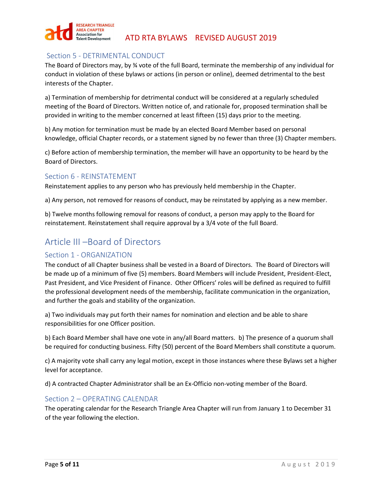

# <span id="page-5-0"></span>Section 5 - DETRIMENTAL CONDUCT

The Board of Directors may, by ¾ vote of the full Board, terminate the membership of any individual for conduct in violation of these bylaws or actions (in person or online), deemed detrimental to the best interests of the Chapter.

a) Termination of membership for detrimental conduct will be considered at a regularly scheduled meeting of the Board of Directors. Written notice of, and rationale for, proposed termination shall be provided in writing to the member concerned at least fifteen (15) days prior to the meeting.

b) Any motion for termination must be made by an elected Board Member based on personal knowledge, official Chapter records, or a statement signed by no fewer than three (3) Chapter members.

c) Before action of membership termination, the member will have an opportunity to be heard by the Board of Directors.

# <span id="page-5-1"></span>Section 6 - REINSTATEMENT

Reinstatement applies to any person who has previously held membership in the Chapter.

a) Any person, not removed for reasons of conduct, may be reinstated by applying as a new member.

b) Twelve months following removal for reasons of conduct, a person may apply to the Board for reinstatement. Reinstatement shall require approval by a 3/4 vote of the full Board.

# <span id="page-5-2"></span>Article III –Board of Directors

# <span id="page-5-3"></span>Section 1 - ORGANIZATION

The conduct of all Chapter business shall be vested in a Board of Directors. The Board of Directors will be made up of a minimum of five (5) members. Board Members will include President, President-Elect, Past President, and Vice President of Finance. Other Officers' roles will be defined as required to fulfill the professional development needs of the membership, facilitate communication in the organization, and further the goals and stability of the organization.

a) Two individuals may put forth their names for nomination and election and be able to share responsibilities for one Officer position.

b) Each Board Member shall have one vote in any/all Board matters. b) The presence of a quorum shall be required for conducting business. Fifty (50) percent of the Board Members shall constitute a quorum.

c) A majority vote shall carry any legal motion, except in those instances where these Bylaws set a higher level for acceptance.

d) A contracted Chapter Administrator shall be an Ex-Officio non-voting member of the Board.

# <span id="page-5-4"></span>Section 2 – OPERATING CALENDAR

The operating calendar for the Research Triangle Area Chapter will run from January 1 to December 31 of the year following the election.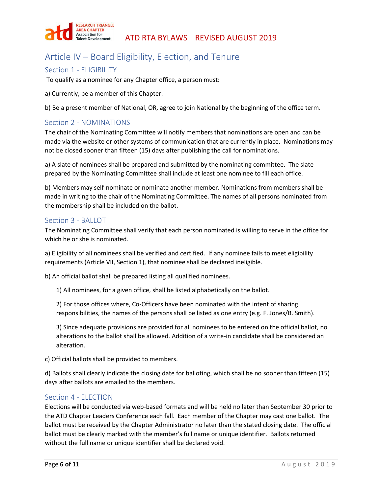

# <span id="page-6-0"></span>Article IV – Board Eligibility, Election, and Tenure

# <span id="page-6-1"></span>Section 1 - ELIGIBILITY

To qualify as a nominee for any Chapter office, a person must:

a) Currently, be a member of this Chapter.

b) Be a present member of National, OR, agree to join National by the beginning of the office term.

## <span id="page-6-2"></span>Section 2 - NOMINATIONS

The chair of the Nominating Committee will notify members that nominations are open and can be made via the website or other systems of communication that are currently in place. Nominations may not be closed sooner than fifteen (15) days after publishing the call for nominations.

a) A slate of nominees shall be prepared and submitted by the nominating committee. The slate prepared by the Nominating Committee shall include at least one nominee to fill each office.

b) Members may self-nominate or nominate another member. Nominations from members shall be made in writing to the chair of the Nominating Committee. The names of all persons nominated from the membership shall be included on the ballot.

## <span id="page-6-3"></span>Section 3 - BALLOT

The Nominating Committee shall verify that each person nominated is willing to serve in the office for which he or she is nominated.

a) Eligibility of all nominees shall be verified and certified. If any nominee fails to meet eligibility requirements (Article VII, Section 1), that nominee shall be declared ineligible.

b) An official ballot shall be prepared listing all qualified nominees.

1) All nominees, for a given office, shall be listed alphabetically on the ballot.

2) For those offices where, Co-Officers have been nominated with the intent of sharing responsibilities, the names of the persons shall be listed as one entry (e.g. F. Jones/B. Smith).

3) Since adequate provisions are provided for all nominees to be entered on the official ballot, no alterations to the ballot shall be allowed. Addition of a write-in candidate shall be considered an alteration.

c) Official ballots shall be provided to members.

d) Ballots shall clearly indicate the closing date for balloting, which shall be no sooner than fifteen (15) days after ballots are emailed to the members.

# <span id="page-6-4"></span>Section 4 - ELECTION

Elections will be conducted via web-based formats and will be held no later than September 30 prior to the ATD Chapter Leaders Conference each fall. Each member of the Chapter may cast one ballot. The ballot must be received by the Chapter Administrator no later than the stated closing date. The official ballot must be clearly marked with the member's full name or unique identifier. Ballots returned without the full name or unique identifier shall be declared void.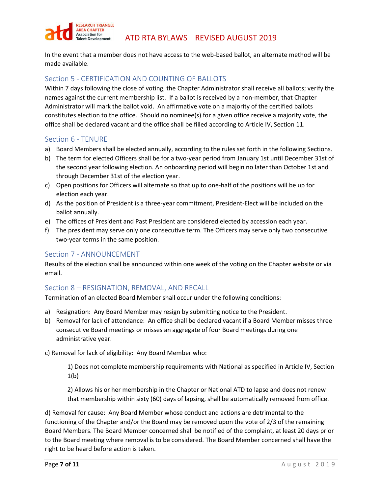

In the event that a member does not have access to the web-based ballot, an alternate method will be made available.

# <span id="page-7-0"></span>Section 5 - CERTIFICATION AND COUNTING OF BALLOTS

Within 7 days following the close of voting, the Chapter Administrator shall receive all ballots; verify the names against the current membership list. If a ballot is received by a non-member, that Chapter Administrator will mark the ballot void. An affirmative vote on a majority of the certified ballots constitutes election to the office. Should no nominee(s) for a given office receive a majority vote, the office shall be declared vacant and the office shall be filled according to Article IV, Section 11.

## <span id="page-7-1"></span>Section 6 - TENURE

- a) Board Members shall be elected annually, according to the rules set forth in the following Sections.
- b) The term for elected Officers shall be for a two-year period from January 1st until December 31st of the second year following election. An onboarding period will begin no later than October 1st and through December 31st of the election year.
- c) Open positions for Officers will alternate so that up to one-half of the positions will be up for election each year.
- d) As the position of President is a three-year commitment, President-Elect will be included on the ballot annually.
- e) The offices of President and Past President are considered elected by accession each year.
- f) The president may serve only one consecutive term. The Officers may serve only two consecutive two-year terms in the same position.

## <span id="page-7-2"></span>Section 7 - ANNOUNCEMENT

Results of the election shall be announced within one week of the voting on the Chapter website or via email.

# <span id="page-7-3"></span>Section 8 – RESIGNATION, REMOVAL, AND RECALL

Termination of an elected Board Member shall occur under the following conditions:

- a) Resignation: Any Board Member may resign by submitting notice to the President.
- b) Removal for lack of attendance: An office shall be declared vacant if a Board Member misses three consecutive Board meetings or misses an aggregate of four Board meetings during one administrative year.

c) Removal for lack of eligibility: Any Board Member who:

1) Does not complete membership requirements with National as specified in Article IV, Section 1(b)

2) Allows his or her membership in the Chapter or National ATD to lapse and does not renew that membership within sixty (60) days of lapsing, shall be automatically removed from office.

d) Removal for cause: Any Board Member whose conduct and actions are detrimental to the functioning of the Chapter and/or the Board may be removed upon the vote of 2/3 of the remaining Board Members. The Board Member concerned shall be notified of the complaint, at least 20 days prior to the Board meeting where removal is to be considered. The Board Member concerned shall have the right to be heard before action is taken.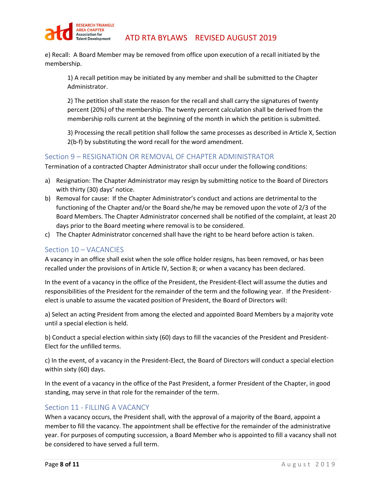

e) Recall: A Board Member may be removed from office upon execution of a recall initiated by the membership.

1) A recall petition may be initiated by any member and shall be submitted to the Chapter Administrator.

2) The petition shall state the reason for the recall and shall carry the signatures of twenty percent (20%) of the membership. The twenty percent calculation shall be derived from the membership rolls current at the beginning of the month in which the petition is submitted.

3) Processing the recall petition shall follow the same processes as described in Article X, Section 2(b-f) by substituting the word recall for the word amendment.

## <span id="page-8-0"></span>Section 9 – RESIGNATION OR REMOVAL OF CHAPTER ADMINISTRATOR

Termination of a contracted Chapter Administrator shall occur under the following conditions:

- a) Resignation: The Chapter Administrator may resign by submitting notice to the Board of Directors with thirty (30) days' notice.
- b) Removal for cause: If the Chapter Administrator's conduct and actions are detrimental to the functioning of the Chapter and/or the Board she/he may be removed upon the vote of 2/3 of the Board Members. The Chapter Administrator concerned shall be notified of the complaint, at least 20 days prior to the Board meeting where removal is to be considered.
- c) The Chapter Administrator concerned shall have the right to be heard before action is taken.

## <span id="page-8-1"></span>Section 10 – VACANCIES

A vacancy in an office shall exist when the sole office holder resigns, has been removed, or has been recalled under the provisions of in Article IV, Section 8; or when a vacancy has been declared.

In the event of a vacancy in the office of the President, the President-Elect will assume the duties and responsibilities of the President for the remainder of the term and the following year. If the Presidentelect is unable to assume the vacated position of President, the Board of Directors will:

a) Select an acting President from among the elected and appointed Board Members by a majority vote until a special election is held.

b) Conduct a special election within sixty (60) days to fill the vacancies of the President and President-Elect for the unfilled terms.

c) In the event, of a vacancy in the President-Elect, the Board of Directors will conduct a special election within sixty (60) days.

In the event of a vacancy in the office of the Past President, a former President of the Chapter, in good standing, may serve in that role for the remainder of the term.

## <span id="page-8-2"></span>Section 11 - FILLING A VACANCY

When a vacancy occurs, the President shall, with the approval of a majority of the Board, appoint a member to fill the vacancy. The appointment shall be effective for the remainder of the administrative year. For purposes of computing succession, a Board Member who is appointed to fill a vacancy shall not be considered to have served a full term.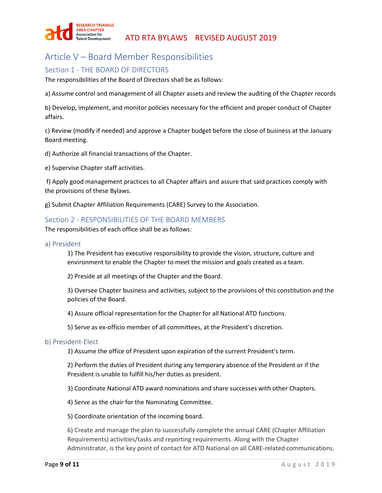

# <span id="page-9-0"></span>Article V – Board Member Responsibilities

# <span id="page-9-1"></span>Section 1 - THE BOARD OF DIRECTORS

The responsibilities of the Board of Directors shall be as follows:

a) Assume control and management of all Chapter assets and review the auditing of the Chapter records

b) Develop, implement, and monitor policies necessary for the efficient and proper conduct of Chapter affairs.

c) Review (modify if needed) and approve a Chapter budget before the close of business at the January Board meeting.

d) Authorize all financial transactions of the Chapter.

e) Supervise Chapter staff activities.

f) Apply good management practices to all Chapter affairs and assure that said practices comply with the provisions of these Bylaws.

g) Submit Chapter Affiliation Requirements (CARE) Survey to the Association.

## <span id="page-9-2"></span>Section 2 - RESPONSIBILITIES OF THE BOARD MEMBERS

The responsibilities of each office shall be as follows:

<span id="page-9-3"></span>a) President

1) The President has executive responsibility to provide the vision, structure, culture and environment to enable the Chapter to meet the mission and goals created as a team.

2) Preside at all meetings of the Chapter and the Board.

3) Oversee Chapter business and activities, subject to the provisions of this constitution and the policies of the Board.

4) Assure official representation for the Chapter for all National ATD functions.

5) Serve as ex-officio member of all committees, at the President's discretion.

#### <span id="page-9-4"></span>b) President-Elect

1) Assume the office of President upon expiration of the current President's term.

2) Perform the duties of President during any temporary absence of the President or if the President is unable to fulfill his/her duties as president.

3) Coordinate National ATD award nominations and share successes with other Chapters.

4) Serve as the chair for the Nominating Committee.

5) Coordinate orientation of the incoming board.

6) Create and manage the plan to successfully complete the annual CARE (Chapter Affiliation Requirements) activities/tasks and reporting requirements. Along with the Chapter Administrator, is the key point of contact for ATD National on all CARE-related communications.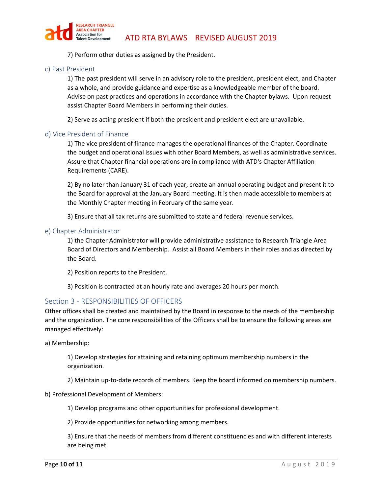

7) Perform other duties as assigned by the President.

#### <span id="page-10-0"></span>c) Past President

1) The past president will serve in an advisory role to the president, president elect, and Chapter as a whole, and provide guidance and expertise as a knowledgeable member of the board. Advise on past practices and operations in accordance with the Chapter bylaws. Upon request assist Chapter Board Members in performing their duties.

2) Serve as acting president if both the president and president elect are unavailable.

#### <span id="page-10-1"></span>d) Vice President of Finance

1) The vice president of finance manages the operational finances of the Chapter. Coordinate the budget and operational issues with other Board Members, as well as administrative services. Assure that Chapter financial operations are in compliance with ATD's Chapter Affiliation Requirements (CARE).

2) By no later than January 31 of each year, create an annual operating budget and present it to the Board for approval at the January Board meeting. It is then made accessible to members at the Monthly Chapter meeting in February of the same year.

3) Ensure that all tax returns are submitted to state and federal revenue services.

#### <span id="page-10-2"></span>e) Chapter Administrator

1) the Chapter Administrator will provide administrative assistance to Research Triangle Area Board of Directors and Membership. Assist all Board Members in their roles and as directed by the Board.

2) Position reports to the President.

3) Position is contracted at an hourly rate and averages 20 hours per month.

## <span id="page-10-3"></span>Section 3 - RESPONSIBILITIES OF OFFICERS

Other offices shall be created and maintained by the Board in response to the needs of the membership and the organization. The core responsibilities of the Officers shall be to ensure the following areas are managed effectively:

a) Membership:

1) Develop strategies for attaining and retaining optimum membership numbers in the organization.

2) Maintain up-to-date records of members. Keep the board informed on membership numbers.

b) Professional Development of Members:

1) Develop programs and other opportunities for professional development.

2) Provide opportunities for networking among members.

3) Ensure that the needs of members from different constituencies and with different interests are being met.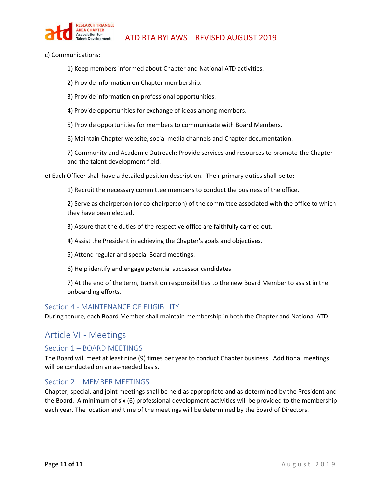

- c) Communications:
	- 1) Keep members informed about Chapter and National ATD activities.
	- 2) Provide information on Chapter membership.
	- 3) Provide information on professional opportunities.
	- 4) Provide opportunities for exchange of ideas among members.
	- 5) Provide opportunities for members to communicate with Board Members.
	- 6) Maintain Chapter website, social media channels and Chapter documentation.

7) Community and Academic Outreach: Provide services and resources to promote the Chapter and the talent development field.

e) Each Officer shall have a detailed position description. Their primary duties shall be to:

1) Recruit the necessary committee members to conduct the business of the office.

2) Serve as chairperson (or co-chairperson) of the committee associated with the office to which they have been elected.

3) Assure that the duties of the respective office are faithfully carried out.

- 4) Assist the President in achieving the Chapter's goals and objectives.
- 5) Attend regular and special Board meetings.
- 6) Help identify and engage potential successor candidates.

7) At the end of the term, transition responsibilities to the new Board Member to assist in the onboarding efforts.

#### <span id="page-11-0"></span>Section 4 - MAINTENANCE OF ELIGIBILITY

During tenure, each Board Member shall maintain membership in both the Chapter and National ATD.

# <span id="page-11-1"></span>Article VI - Meetings

## <span id="page-11-2"></span>Section 1 – BOARD MEETINGS

The Board will meet at least nine (9) times per year to conduct Chapter business. Additional meetings will be conducted on an as-needed basis.

## <span id="page-11-3"></span>Section 2 – MEMBER MEETINGS

Chapter, special, and joint meetings shall be held as appropriate and as determined by the President and the Board. A minimum of six (6) professional development activities will be provided to the membership each year. The location and time of the meetings will be determined by the Board of Directors.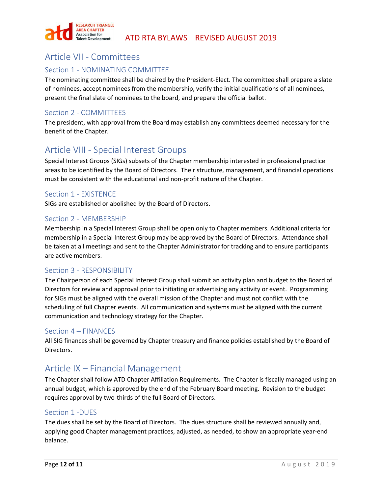

# <span id="page-12-0"></span>Article VII - Committees

# <span id="page-12-1"></span>Section 1 - NOMINATING COMMITTEE

The nominating committee shall be chaired by the President-Elect. The committee shall prepare a slate of nominees, accept nominees from the membership, verify the initial qualifications of all nominees, present the final slate of nominees to the board, and prepare the official ballot.

# <span id="page-12-2"></span>Section 2 - COMMITTEES

The president, with approval from the Board may establish any committees deemed necessary for the benefit of the Chapter.

# <span id="page-12-3"></span>Article VIII - Special Interest Groups

Special Interest Groups (SIGs) subsets of the Chapter membership interested in professional practice areas to be identified by the Board of Directors. Their structure, management, and financial operations must be consistent with the educational and non-profit nature of the Chapter.

# <span id="page-12-4"></span>Section 1 - EXISTENCE

SIGs are established or abolished by the Board of Directors.

## <span id="page-12-5"></span>Section 2 - MEMBERSHIP

Membership in a Special Interest Group shall be open only to Chapter members. Additional criteria for membership in a Special Interest Group may be approved by the Board of Directors. Attendance shall be taken at all meetings and sent to the Chapter Administrator for tracking and to ensure participants are active members.

## <span id="page-12-6"></span>Section 3 - RESPONSIBILITY

The Chairperson of each Special Interest Group shall submit an activity plan and budget to the Board of Directors for review and approval prior to initiating or advertising any activity or event. Programming for SIGs must be aligned with the overall mission of the Chapter and must not conflict with the scheduling of full Chapter events. All communication and systems must be aligned with the current communication and technology strategy for the Chapter.

## <span id="page-12-7"></span>Section 4 – FINANCES

All SIG finances shall be governed by Chapter treasury and finance policies established by the Board of Directors.

# <span id="page-12-8"></span>Article IX – Financial Management

The Chapter shall follow ATD Chapter Affiliation Requirements. The Chapter is fiscally managed using an annual budget, which is approved by the end of the February Board meeting. Revision to the budget requires approval by two-thirds of the full Board of Directors.

## <span id="page-12-9"></span>Section 1 -DUES

The dues shall be set by the Board of Directors. The dues structure shall be reviewed annually and, applying good Chapter management practices, adjusted, as needed, to show an appropriate year-end balance.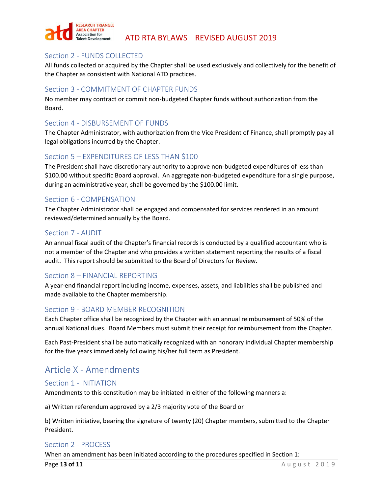

# <span id="page-13-0"></span>Section 2 - FUNDS COLLECTED

All funds collected or acquired by the Chapter shall be used exclusively and collectively for the benefit of the Chapter as consistent with National ATD practices.

# <span id="page-13-1"></span>Section 3 - COMMITMENT OF CHAPTER FUNDS

No member may contract or commit non-budgeted Chapter funds without authorization from the Board.

## <span id="page-13-2"></span>Section 4 - DISBURSEMENT OF FUNDS

The Chapter Administrator, with authorization from the Vice President of Finance, shall promptly pay all legal obligations incurred by the Chapter.

# <span id="page-13-3"></span>Section 5 – EXPENDITURES OF LESS THAN \$100

The President shall have discretionary authority to approve non-budgeted expenditures of less than \$100.00 without specific Board approval. An aggregate non-budgeted expenditure for a single purpose, during an administrative year, shall be governed by the \$100.00 limit.

## <span id="page-13-4"></span>Section 6 - COMPENSATION

The Chapter Administrator shall be engaged and compensated for services rendered in an amount reviewed/determined annually by the Board.

## <span id="page-13-5"></span>Section 7 - AUDIT

An annual fiscal audit of the Chapter's financial records is conducted by a qualified accountant who is not a member of the Chapter and who provides a written statement reporting the results of a fiscal audit. This report should be submitted to the Board of Directors for Review.

# <span id="page-13-6"></span>Section 8 – FINANCIAL REPORTING

A year-end financial report including income, expenses, assets, and liabilities shall be published and made available to the Chapter membership.

## <span id="page-13-7"></span>Section 9 - BOARD MEMBER RECOGNITION

Each Chapter office shall be recognized by the Chapter with an annual reimbursement of 50% of the annual National dues. Board Members must submit their receipt for reimbursement from the Chapter.

Each Past-President shall be automatically recognized with an honorary individual Chapter membership for the five years immediately following his/her full term as President.

# <span id="page-13-8"></span>Article X - Amendments

## <span id="page-13-9"></span>Section 1 - INITIATION

Amendments to this constitution may be initiated in either of the following manners a:

a) Written referendum approved by a 2/3 majority vote of the Board or

b) Written initiative, bearing the signature of twenty (20) Chapter members, submitted to the Chapter President.

## <span id="page-13-10"></span>Section 2 - PROCESS

When an amendment has been initiated according to the procedures specified in Section 1: